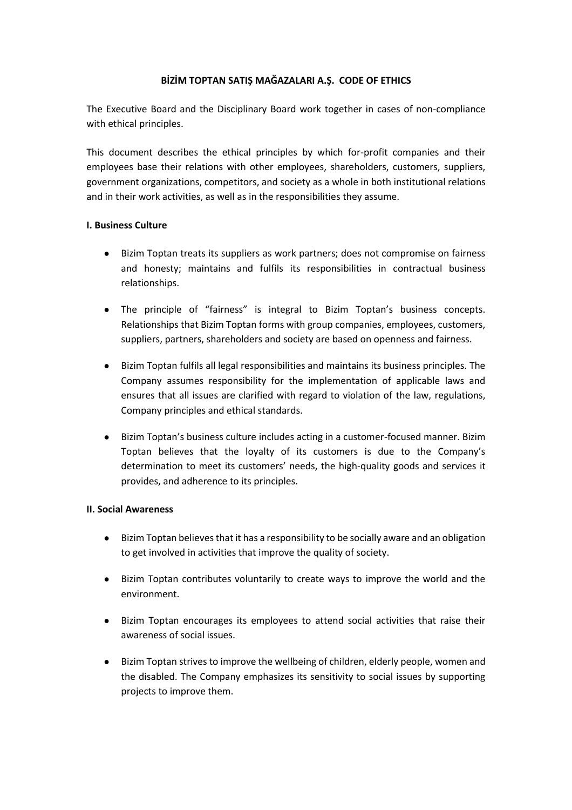# **BİZİM TOPTAN SATIŞ MAĞAZALARI A.Ş. CODE OF ETHICS**

The Executive Board and the Disciplinary Board work together in cases of non-compliance with ethical principles.

This document describes the ethical principles by which for-profit companies and their employees base their relations with other employees, shareholders, customers, suppliers, government organizations, competitors, and society as a whole in both institutional relations and in their work activities, as well as in the responsibilities they assume.

### **I. Business Culture**

- Bizim Toptan treats its suppliers as work partners; does not compromise on fairness and honesty; maintains and fulfils its responsibilities in contractual business relationships.
- The principle of "fairness" is integral to Bizim Toptan's business concepts. Relationships that Bizim Toptan forms with group companies, employees, customers, suppliers, partners, shareholders and society are based on openness and fairness.
- Bizim Toptan fulfils all legal responsibilities and maintains its business principles. The Company assumes responsibility for the implementation of applicable laws and ensures that all issues are clarified with regard to violation of the law, regulations, Company principles and ethical standards.
- Bizim Toptan's business culture includes acting in a customer-focused manner. Bizim Toptan believes that the loyalty of its customers is due to the Company's determination to meet its customers' needs, the high-quality goods and services it provides, and adherence to its principles.

### **II. Social Awareness**

- Bizim Toptan believes that it has a responsibility to be socially aware and an obligation to get involved in activities that improve the quality of society.
- Bizim Toptan contributes voluntarily to create ways to improve the world and the environment.
- Bizim Toptan encourages its employees to attend social activities that raise their awareness of social issues.
- Bizim Toptan strives to improve the wellbeing of children, elderly people, women and the disabled. The Company emphasizes its sensitivity to social issues by supporting projects to improve them.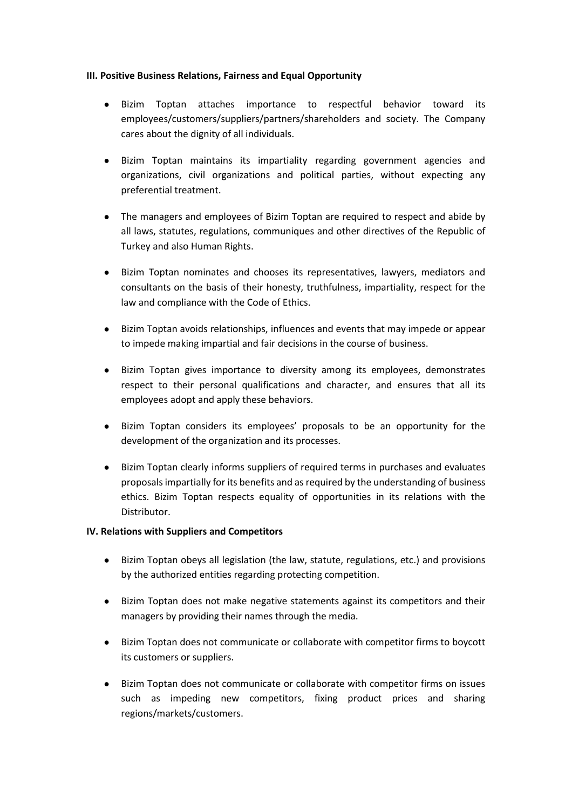## **III. Positive Business Relations, Fairness and Equal Opportunity**

- Bizim Toptan attaches importance to respectful behavior toward its employees/customers/suppliers/partners/shareholders and society. The Company cares about the dignity of all individuals.
- Bizim Toptan maintains its impartiality regarding government agencies and organizations, civil organizations and political parties, without expecting any preferential treatment.
- The managers and employees of Bizim Toptan are required to respect and abide by all laws, statutes, regulations, communiques and other directives of the Republic of Turkey and also Human Rights.
- Bizim Toptan nominates and chooses its representatives, lawyers, mediators and consultants on the basis of their honesty, truthfulness, impartiality, respect for the law and compliance with the Code of Ethics.
- Bizim Toptan avoids relationships, influences and events that may impede or appear to impede making impartial and fair decisions in the course of business.
- Bizim Toptan gives importance to diversity among its employees, demonstrates respect to their personal qualifications and character, and ensures that all its employees adopt and apply these behaviors.
- Bizim Toptan considers its employees' proposals to be an opportunity for the development of the organization and its processes.
- Bizim Toptan clearly informs suppliers of required terms in purchases and evaluates proposals impartially for its benefits and as required by the understanding of business ethics. Bizim Toptan respects equality of opportunities in its relations with the Distributor.

### **IV. Relations with Suppliers and Competitors**

- Bizim Toptan obeys all legislation (the law, statute, regulations, etc.) and provisions by the authorized entities regarding protecting competition.
- Bizim Toptan does not make negative statements against its competitors and their managers by providing their names through the media.
- Bizim Toptan does not communicate or collaborate with competitor firms to boycott its customers or suppliers.
- Bizim Toptan does not communicate or collaborate with competitor firms on issues such as impeding new competitors, fixing product prices and sharing regions/markets/customers.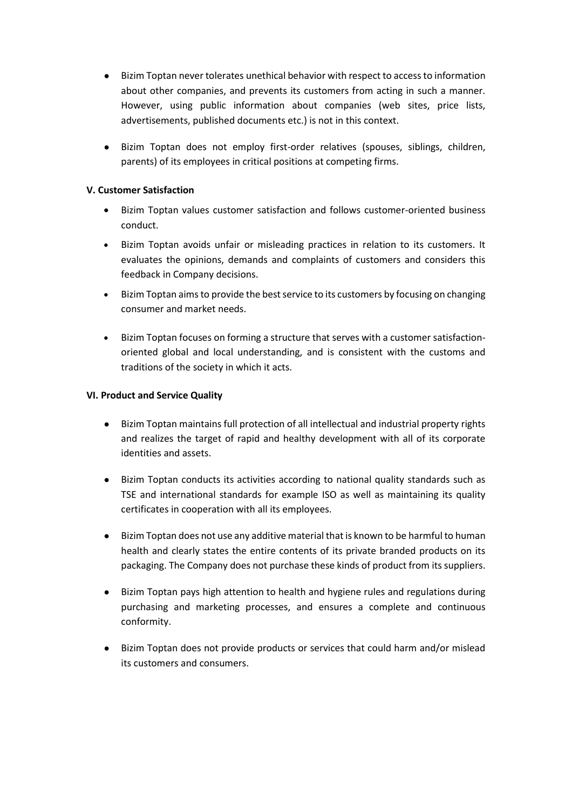- Bizim Toptan never tolerates unethical behavior with respect to access to information about other companies, and prevents its customers from acting in such a manner. However, using public information about companies (web sites, price lists, advertisements, published documents etc.) is not in this context.
- Bizim Toptan does not employ first-order relatives (spouses, siblings, children, parents) of its employees in critical positions at competing firms.

## **V. Customer Satisfaction**

- Bizim Toptan values customer satisfaction and follows customer-oriented business conduct.
- Bizim Toptan avoids unfair or misleading practices in relation to its customers. It evaluates the opinions, demands and complaints of customers and considers this feedback in Company decisions.
- Bizim Toptan aims to provide the best service to its customers by focusing on changing consumer and market needs.
- Bizim Toptan focuses on forming a structure that serves with a customer satisfactionoriented global and local understanding, and is consistent with the customs and traditions of the society in which it acts.

## **VI. Product and Service Quality**

- Bizim Toptan maintains full protection of all intellectual and industrial property rights and realizes the target of rapid and healthy development with all of its corporate identities and assets.
- Bizim Toptan conducts its activities according to national quality standards such as TSE and international standards for example ISO as well as maintaining its quality certificates in cooperation with all its employees.
- Bizim Toptan does not use any additive material that is known to be harmful to human health and clearly states the entire contents of its private branded products on its packaging. The Company does not purchase these kinds of product from its suppliers.
- Bizim Toptan pays high attention to health and hygiene rules and regulations during purchasing and marketing processes, and ensures a complete and continuous conformity.
- Bizim Toptan does not provide products or services that could harm and/or mislead its customers and consumers.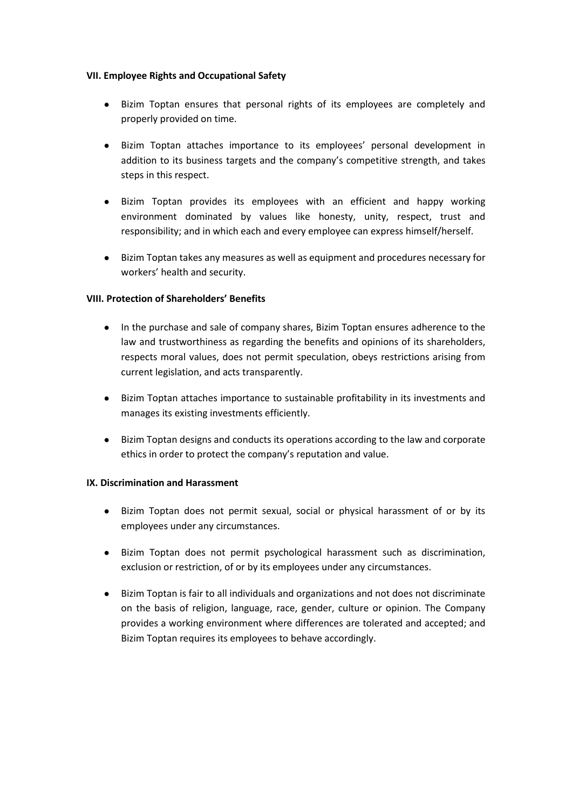### **VII. Employee Rights and Occupational Safety**

- Bizim Toptan ensures that personal rights of its employees are completely and properly provided on time.
- Bizim Toptan attaches importance to its employees' personal development in addition to its business targets and the company's competitive strength, and takes steps in this respect.
- Bizim Toptan provides its employees with an efficient and happy working environment dominated by values like honesty, unity, respect, trust and responsibility; and in which each and every employee can express himself/herself.
- Bizim Toptan takes any measures as well as equipment and procedures necessary for workers' health and security.

# **VIII. Protection of Shareholders' Benefits**

- In the purchase and sale of company shares, Bizim Toptan ensures adherence to the law and trustworthiness as regarding the benefits and opinions of its shareholders, respects moral values, does not permit speculation, obeys restrictions arising from current legislation, and acts transparently.
- Bizim Toptan attaches importance to sustainable profitability in its investments and manages its existing investments efficiently.
- Bizim Toptan designs and conducts its operations according to the law and corporate ethics in order to protect the company's reputation and value.

### **IX. Discrimination and Harassment**

- Bizim Toptan does not permit sexual, social or physical harassment of or by its employees under any circumstances.
- Bizim Toptan does not permit psychological harassment such as discrimination, exclusion or restriction, of or by its employees under any circumstances.
- Bizim Toptan is fair to all individuals and organizations and not does not discriminate on the basis of religion, language, race, gender, culture or opinion. The Company provides a working environment where differences are tolerated and accepted; and Bizim Toptan requires its employees to behave accordingly.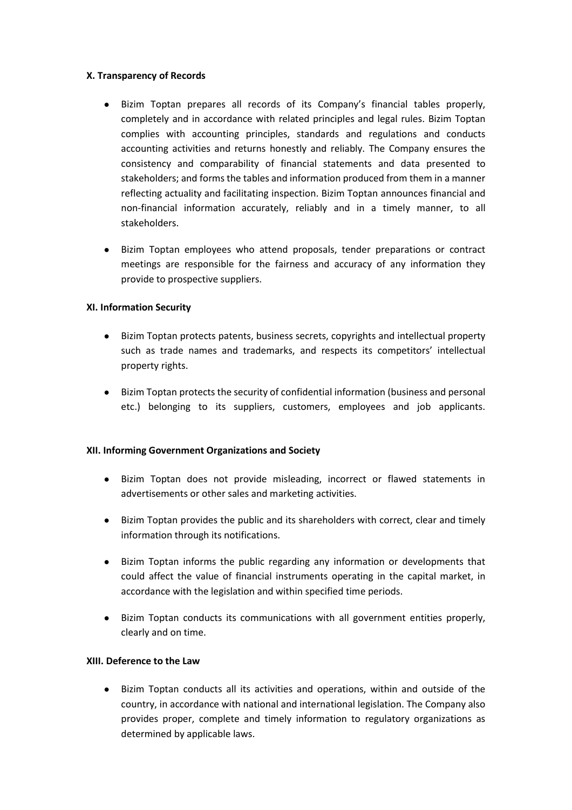### **X. Transparency of Records**

- Bizim Toptan prepares all records of its Company's financial tables properly, completely and in accordance with related principles and legal rules. Bizim Toptan complies with accounting principles, standards and regulations and conducts accounting activities and returns honestly and reliably. The Company ensures the consistency and comparability of financial statements and data presented to stakeholders; and forms the tables and information produced from them in a manner reflecting actuality and facilitating inspection. Bizim Toptan announces financial and non-financial information accurately, reliably and in a timely manner, to all stakeholders.
- Bizim Toptan employees who attend proposals, tender preparations or contract meetings are responsible for the fairness and accuracy of any information they provide to prospective suppliers.

## **XI. Information Security**

- Bizim Toptan protects patents, business secrets, copyrights and intellectual property such as trade names and trademarks, and respects its competitors' intellectual property rights.
- Bizim Toptan protects the security of confidential information (business and personal etc.) belonging to its suppliers, customers, employees and job applicants.

### **XII. Informing Government Organizations and Society**

- Bizim Toptan does not provide misleading, incorrect or flawed statements in advertisements or other sales and marketing activities.
- Bizim Toptan provides the public and its shareholders with correct, clear and timely information through its notifications.
- Bizim Toptan informs the public regarding any information or developments that could affect the value of financial instruments operating in the capital market, in accordance with the legislation and within specified time periods.
- Bizim Toptan conducts its communications with all government entities properly, clearly and on time.

## **XIII. Deference to the Law**

Bizim Toptan conducts all its activities and operations, within and outside of the country, in accordance with national and international legislation. The Company also provides proper, complete and timely information to regulatory organizations as determined by applicable laws.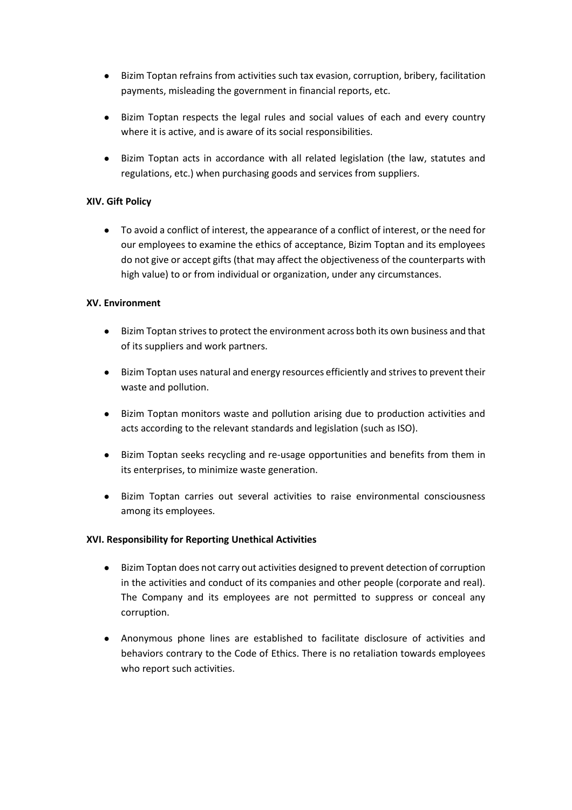- Bizim Toptan refrains from activities such tax evasion, corruption, bribery, facilitation payments, misleading the government in financial reports, etc.
- Bizim Toptan respects the legal rules and social values of each and every country where it is active, and is aware of its social responsibilities.
- Bizim Toptan acts in accordance with all related legislation (the law, statutes and regulations, etc.) when purchasing goods and services from suppliers.

# **XIV. Gift Policy**

● To avoid a conflict of interest, the appearance of a conflict of interest, or the need for our employees to examine the ethics of acceptance, Bizim Toptan and its employees do not give or accept gifts (that may affect the objectiveness of the counterparts with high value) to or from individual or organization, under any circumstances.

## **XV. Environment**

- Bizim Toptan strives to protect the environment across both its own business and that of its suppliers and work partners.
- Bizim Toptan uses natural and energy resources efficiently and strives to prevent their waste and pollution.
- Bizim Toptan monitors waste and pollution arising due to production activities and acts according to the relevant standards and legislation (such as ISO).
- Bizim Toptan seeks recycling and re-usage opportunities and benefits from them in its enterprises, to minimize waste generation.
- Bizim Toptan carries out several activities to raise environmental consciousness among its employees.

### **XVI. Responsibility for Reporting Unethical Activities**

- Bizim Toptan does not carry out activities designed to prevent detection of corruption in the activities and conduct of its companies and other people (corporate and real). The Company and its employees are not permitted to suppress or conceal any corruption.
- Anonymous phone lines are established to facilitate disclosure of activities and behaviors contrary to the Code of Ethics. There is no retaliation towards employees who report such activities.